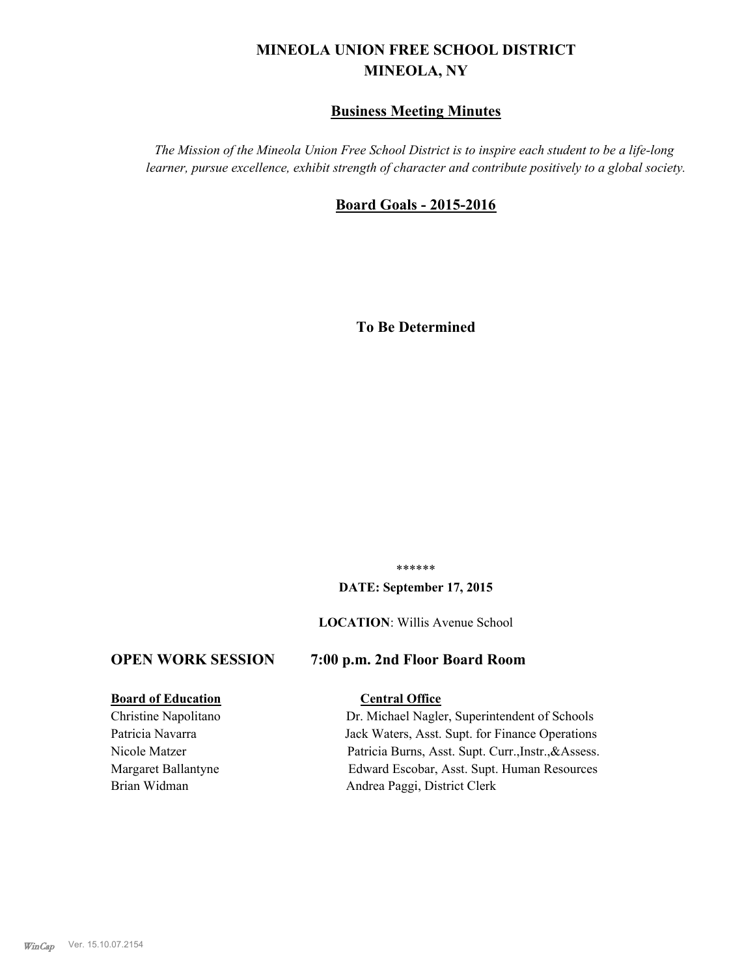# **MINEOLA UNION FREE SCHOOL DISTRICT MINEOLA, NY**

## **Business Meeting Minutes**

*The Mission of the Mineola Union Free School District is to inspire each student to be a life-long learner, pursue excellence, exhibit strength of character and contribute positively to a global society.*

## **Board Goals - 2015-2016**

**To Be Determined**

\*\*\*\*\*\*

#### **DATE: September 17, 2015**

#### **LOCATION**: Willis Avenue School

## **OPEN WORK SESSION 7:00 p.m. 2nd Floor Board Room**

#### **Board of Education Central Office**

Christine Napolitano Dr. Michael Nagler, Superintendent of Schools Patricia Navarra Jack Waters, Asst. Supt. for Finance Operations Nicole Matzer Patricia Burns, Asst. Supt. Curr.,Instr.,&Assess. Margaret Ballantyne Edward Escobar, Asst. Supt. Human Resources Brian Widman Andrea Paggi, District Clerk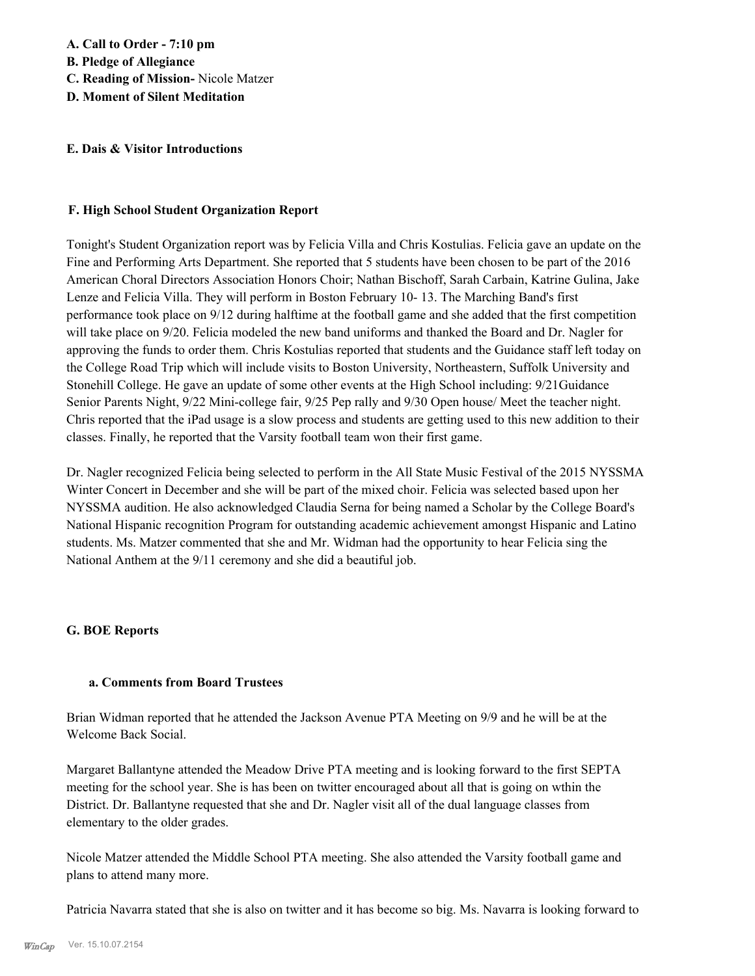## **E. Dais & Visitor Introductions**

#### **F. High School Student Organization Report**

Tonight's Student Organization report was by Felicia Villa and Chris Kostulias. Felicia gave an update on the Fine and Performing Arts Department. She reported that 5 students have been chosen to be part of the 2016 American Choral Directors Association Honors Choir; Nathan Bischoff, Sarah Carbain, Katrine Gulina, Jake Lenze and Felicia Villa. They will perform in Boston February 10- 13. The Marching Band's first performance took place on 9/12 during halftime at the football game and she added that the first competition will take place on 9/20. Felicia modeled the new band uniforms and thanked the Board and Dr. Nagler for approving the funds to order them. Chris Kostulias reported that students and the Guidance staff left today on the College Road Trip which will include visits to Boston University, Northeastern, Suffolk University and Stonehill College. He gave an update of some other events at the High School including: 9/21Guidance Senior Parents Night, 9/22 Mini-college fair, 9/25 Pep rally and 9/30 Open house/ Meet the teacher night. Chris reported that the iPad usage is a slow process and students are getting used to this new addition to their classes. Finally, he reported that the Varsity football team won their first game.

Dr. Nagler recognized Felicia being selected to perform in the All State Music Festival of the 2015 NYSSMA Winter Concert in December and she will be part of the mixed choir. Felicia was selected based upon her NYSSMA audition. He also acknowledged Claudia Serna for being named a Scholar by the College Board's National Hispanic recognition Program for outstanding academic achievement amongst Hispanic and Latino students. Ms. Matzer commented that she and Mr. Widman had the opportunity to hear Felicia sing the National Anthem at the 9/11 ceremony and she did a beautiful job.

## **G. BOE Reports**

#### **a. Comments from Board Trustees**

Brian Widman reported that he attended the Jackson Avenue PTA Meeting on 9/9 and he will be at the Welcome Back Social.

Margaret Ballantyne attended the Meadow Drive PTA meeting and is looking forward to the first SEPTA meeting for the school year. She is has been on twitter encouraged about all that is going on wthin the District. Dr. Ballantyne requested that she and Dr. Nagler visit all of the dual language classes from elementary to the older grades.

Nicole Matzer attended the Middle School PTA meeting. She also attended the Varsity football game and plans to attend many more.

Patricia Navarra stated that she is also on twitter and it has become so big. Ms. Navarra is looking forward to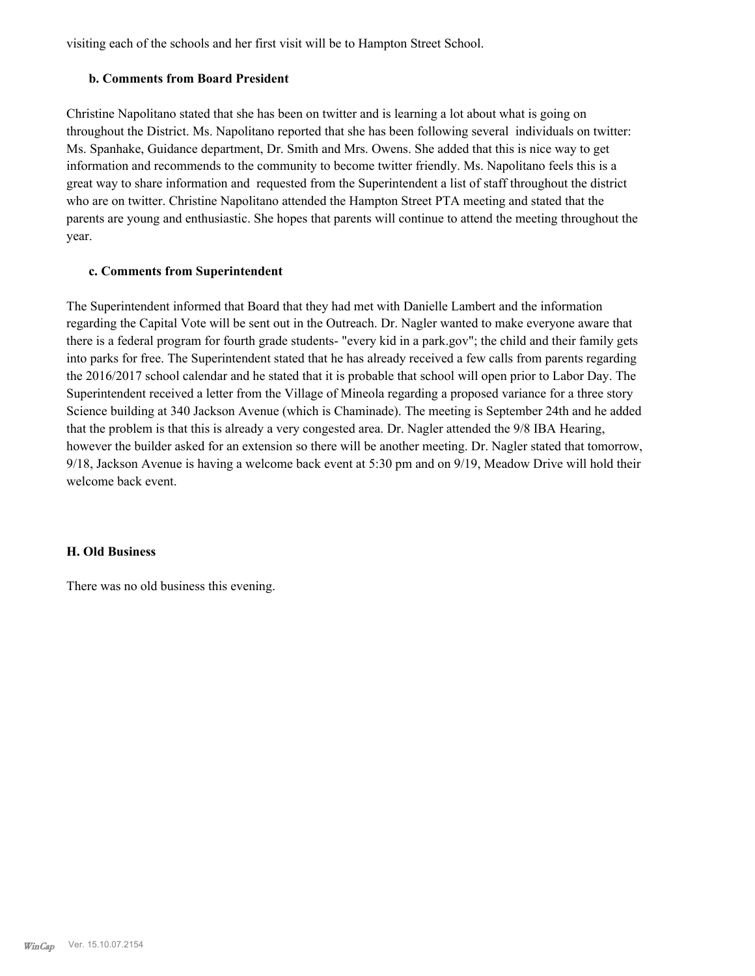visiting each of the schools and her first visit will be to Hampton Street School.

## **b. Comments from Board President**

Christine Napolitano stated that she has been on twitter and is learning a lot about what is going on throughout the District. Ms. Napolitano reported that she has been following several individuals on twitter: Ms. Spanhake, Guidance department, Dr. Smith and Mrs. Owens. She added that this is nice way to get information and recommends to the community to become twitter friendly. Ms. Napolitano feels this is a great way to share information and requested from the Superintendent a list of staff throughout the district who are on twitter. Christine Napolitano attended the Hampton Street PTA meeting and stated that the parents are young and enthusiastic. She hopes that parents will continue to attend the meeting throughout the year.

## **c. Comments from Superintendent**

The Superintendent informed that Board that they had met with Danielle Lambert and the information regarding the Capital Vote will be sent out in the Outreach. Dr. Nagler wanted to make everyone aware that there is a federal program for fourth grade students- "every kid in a park.gov"; the child and their family gets into parks for free. The Superintendent stated that he has already received a few calls from parents regarding the 2016/2017 school calendar and he stated that it is probable that school will open prior to Labor Day. The Superintendent received a letter from the Village of Mineola regarding a proposed variance for a three story Science building at 340 Jackson Avenue (which is Chaminade). The meeting is September 24th and he added that the problem is that this is already a very congested area. Dr. Nagler attended the 9/8 IBA Hearing, however the builder asked for an extension so there will be another meeting. Dr. Nagler stated that tomorrow, 9/18, Jackson Avenue is having a welcome back event at 5:30 pm and on 9/19, Meadow Drive will hold their welcome back event.

#### **H. Old Business**

There was no old business this evening.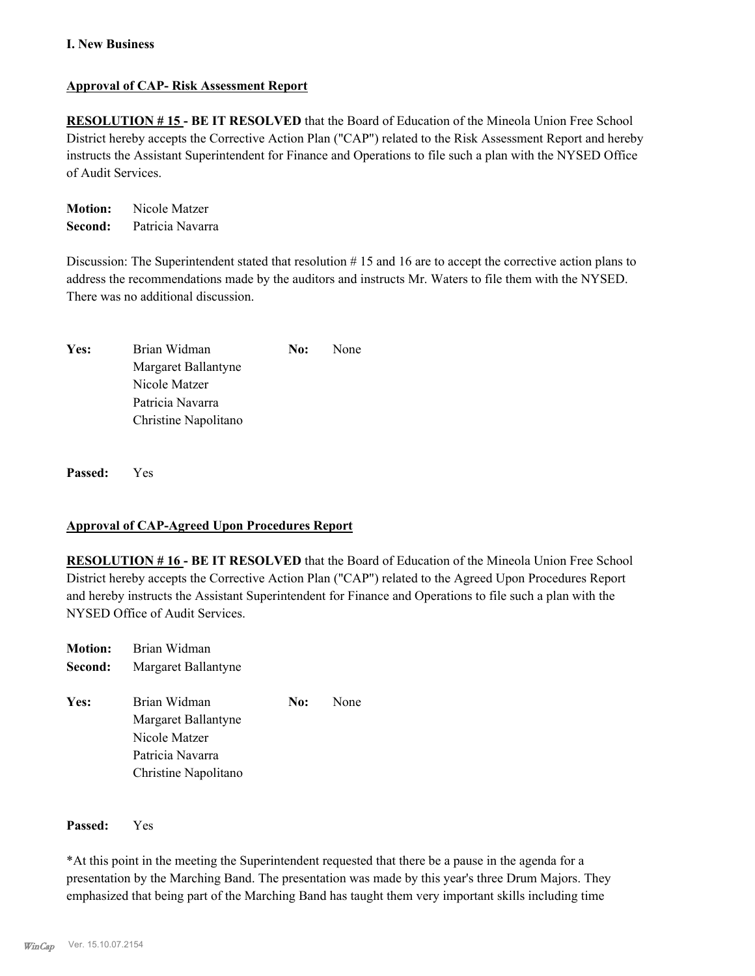## **Approval of CAP- Risk Assessment Report**

**RESOLUTION # 15 - BE IT RESOLVED** that the Board of Education of the Mineola Union Free School District hereby accepts the Corrective Action Plan ("CAP") related to the Risk Assessment Report and hereby instructs the Assistant Superintendent for Finance and Operations to file such a plan with the NYSED Office of Audit Services.

**Motion:** Nicole Matzer **Second:** Patricia Navarra

Discussion: The Superintendent stated that resolution # 15 and 16 are to accept the corrective action plans to address the recommendations made by the auditors and instructs Mr. Waters to file them with the NYSED. There was no additional discussion.

| Yes: | Brian Widman         | No: | <b>None</b> |
|------|----------------------|-----|-------------|
|      | Margaret Ballantyne  |     |             |
|      | Nicole Matzer        |     |             |
|      | Patricia Navarra     |     |             |
|      | Christine Napolitano |     |             |

**Passed:** Yes

## **Approval of CAP-Agreed Upon Procedures Report**

**RESOLUTION # 16 - BE IT RESOLVED** that the Board of Education of the Mineola Union Free School District hereby accepts the Corrective Action Plan ("CAP") related to the Agreed Upon Procedures Report and hereby instructs the Assistant Superintendent for Finance and Operations to file such a plan with the NYSED Office of Audit Services.

| <b>Motion:</b> | Brian Widman         |     |      |
|----------------|----------------------|-----|------|
| Second:        | Margaret Ballantyne  |     |      |
| Yes:           | Brian Widman         | No: | None |
|                | Margaret Ballantyne  |     |      |
|                | Nicole Matzer        |     |      |
|                | Patricia Navarra     |     |      |
|                | Christine Napolitano |     |      |

#### **Passed:** Yes

\*At this point in the meeting the Superintendent requested that there be a pause in the agenda for a presentation by the Marching Band. The presentation was made by this year's three Drum Majors. They emphasized that being part of the Marching Band has taught them very important skills including time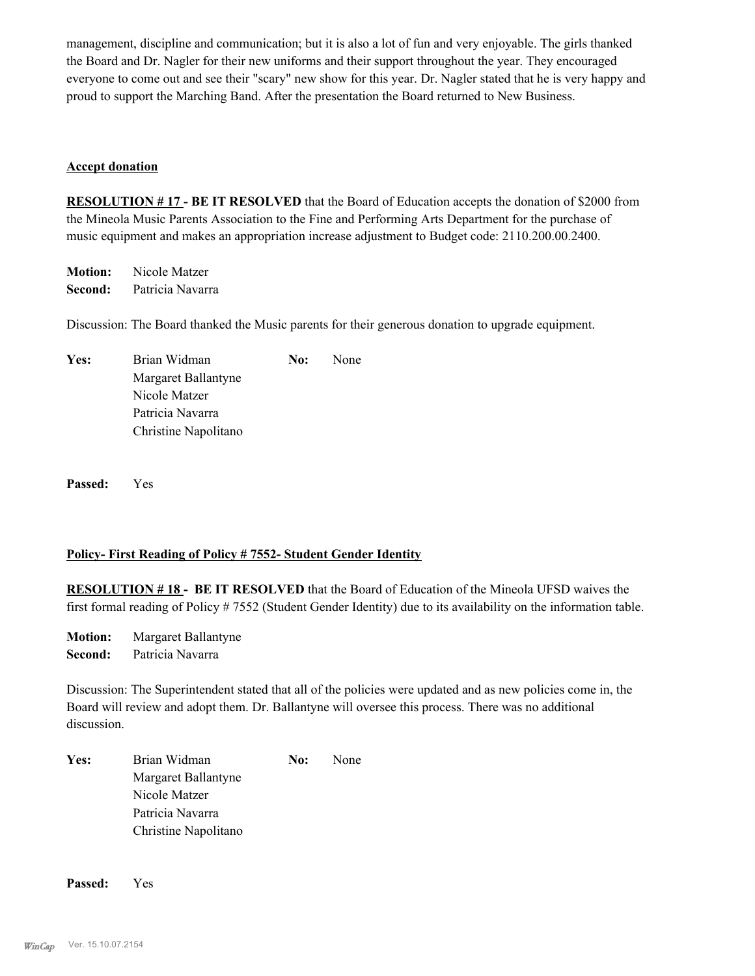management, discipline and communication; but it is also a lot of fun and very enjoyable. The girls thanked the Board and Dr. Nagler for their new uniforms and their support throughout the year. They encouraged everyone to come out and see their "scary" new show for this year. Dr. Nagler stated that he is very happy and proud to support the Marching Band. After the presentation the Board returned to New Business.

## **Accept donation**

**RESOLUTION # 17 - BE IT RESOLVED** that the Board of Education accepts the donation of \$2000 from the Mineola Music Parents Association to the Fine and Performing Arts Department for the purchase of music equipment and makes an appropriation increase adjustment to Budget code: 2110.200.00.2400.

**Motion:** Nicole Matzer **Second:** Patricia Navarra

Discussion: The Board thanked the Music parents for their generous donation to upgrade equipment.

| Yes: | Brian Widman         | No: | None |
|------|----------------------|-----|------|
|      | Margaret Ballantyne  |     |      |
|      | Nicole Matzer        |     |      |
|      | Patricia Navarra     |     |      |
|      | Christine Napolitano |     |      |

**Passed:** Yes

#### **Policy- First Reading of Policy # 7552- Student Gender Identity**

**RESOLUTION # 18 - BE IT RESOLVED** that the Board of Education of the Mineola UFSD waives the first formal reading of Policy # 7552 (Student Gender Identity) due to its availability on the information table.

**Motion:** Margaret Ballantyne **Second:** Patricia Navarra

Discussion: The Superintendent stated that all of the policies were updated and as new policies come in, the Board will review and adopt them. Dr. Ballantyne will oversee this process. There was no additional discussion.

| Yes: | Brian Widman         | No: | None |
|------|----------------------|-----|------|
|      | Margaret Ballantyne  |     |      |
|      | Nicole Matzer        |     |      |
|      | Patricia Navarra     |     |      |
|      | Christine Napolitano |     |      |

**Passed:** Yes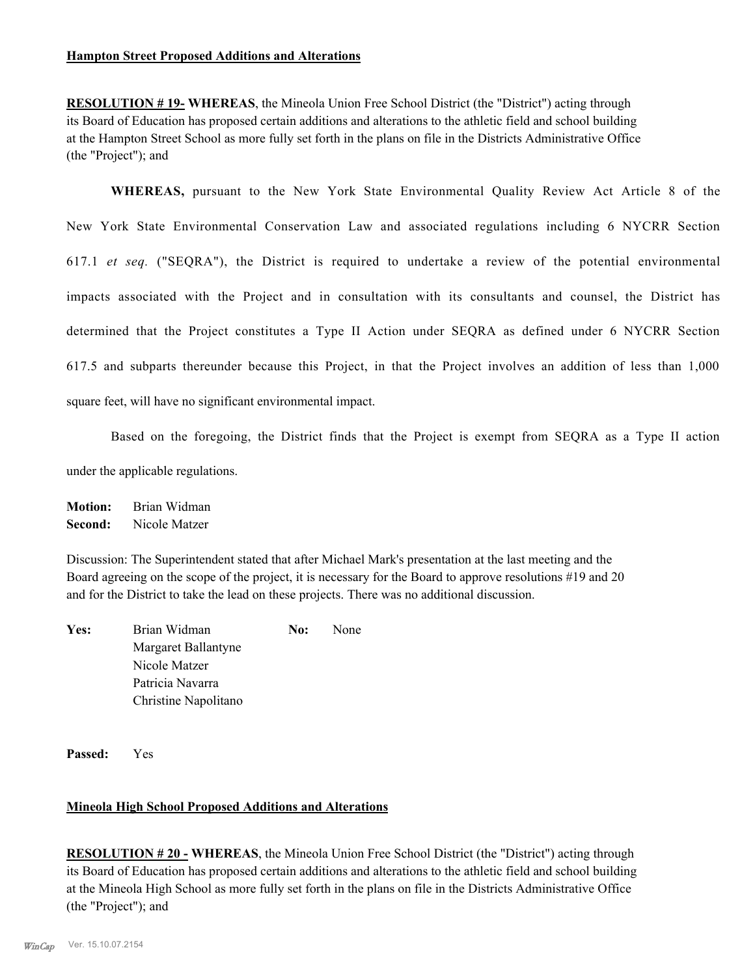**RESOLUTION # 19- WHEREAS**, the Mineola Union Free School District (the "District") acting through its Board of Education has proposed certain additions and alterations to the athletic field and school building at the Hampton Street School as more fully set forth in the plans on file in the Districts Administrative Office (the "Project"); and

**WHEREAS,** pursuant to the New York State Environmental Quality Review Act Article 8 of the New York State Environmental Conservation Law and associated regulations including 6 NYCRR Section 617.1 *et seq.* ("SEQRA"), the District is required to undertake a review of the potential environmental impacts associated with the Project and in consultation with its consultants and counsel, the District has determined that the Project constitutes a Type II Action under SEQRA as defined under 6 NYCRR Section 617.5 and subparts thereunder because this Project, in that the Project involves an addition of less than 1,000 square feet, will have no significant environmental impact.

Based on the foregoing, the District finds that the Project is exempt from SEQRA as a Type II action under the applicable regulations.

**Motion:** Brian Widman

**Second:** Nicole Matzer

Discussion: The Superintendent stated that after Michael Mark's presentation at the last meeting and the Board agreeing on the scope of the project, it is necessary for the Board to approve resolutions #19 and 20 and for the District to take the lead on these projects. There was no additional discussion.

| Yes: | Brian Widman         | No: | None |
|------|----------------------|-----|------|
|      | Margaret Ballantyne  |     |      |
|      | Nicole Matzer        |     |      |
|      | Patricia Navarra     |     |      |
|      | Christine Napolitano |     |      |
|      |                      |     |      |

**Passed:** Yes

## **Mineola High School Proposed Additions and Alterations**

**RESOLUTION # 20 - WHEREAS**, the Mineola Union Free School District (the "District") acting through its Board of Education has proposed certain additions and alterations to the athletic field and school building at the Mineola High School as more fully set forth in the plans on file in the Districts Administrative Office (the "Project"); and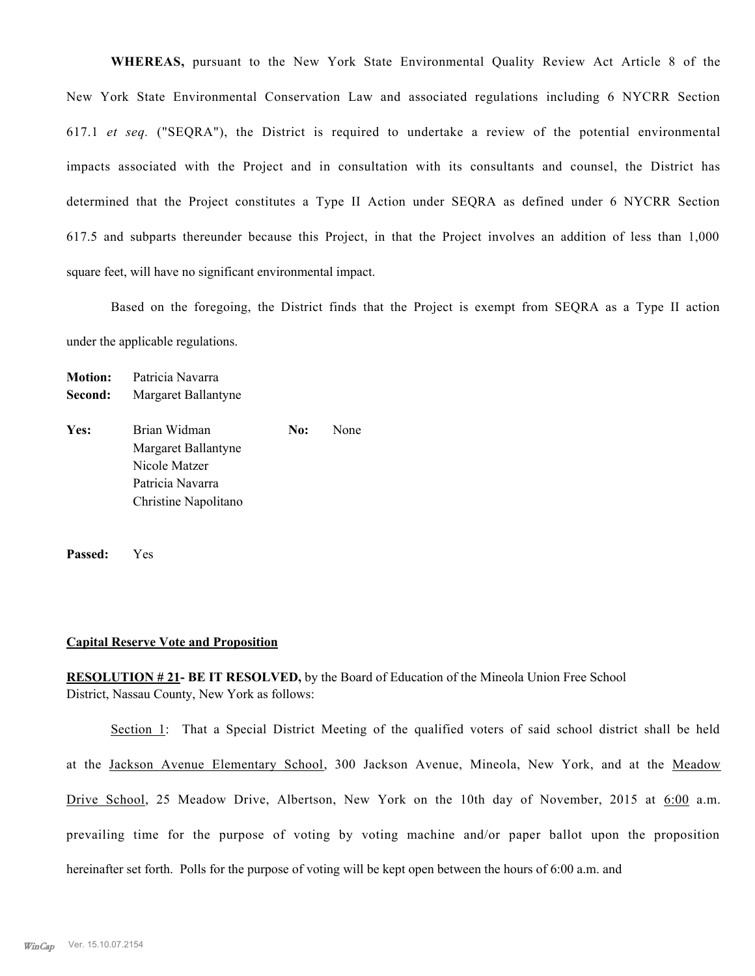**WHEREAS,** pursuant to the New York State Environmental Quality Review Act Article 8 of the New York State Environmental Conservation Law and associated regulations including 6 NYCRR Section 617.1 *et seq.* ("SEQRA"), the District is required to undertake a review of the potential environmental impacts associated with the Project and in consultation with its consultants and counsel, the District has determined that the Project constitutes a Type II Action under SEQRA as defined under 6 NYCRR Section 617.5 and subparts thereunder because this Project, in that the Project involves an addition of less than 1,000 square feet, will have no significant environmental impact.

Based on the foregoing, the District finds that the Project is exempt from SEQRA as a Type II action under the applicable regulations.

**Second:** Margaret Ballantyne Yes: Brian Widman **No:** None Margaret Ballantyne Nicole Matzer Patricia Navarra Christine Napolitano

**Passed:** Yes

**Motion:** Patricia Navarra

#### **Capital Reserve Vote and Proposition**

**RESOLUTION # 21- BE IT RESOLVED,** by the Board of Education of the Mineola Union Free School District, Nassau County, New York as follows:

Section 1: That a Special District Meeting of the qualified voters of said school district shall be held at the Jackson Avenue Elementary School, 300 Jackson Avenue, Mineola, New York, and at the Meadow Drive School, 25 Meadow Drive, Albertson, New York on the 10th day of November, 2015 at 6:00 a.m. prevailing time for the purpose of voting by voting machine and/or paper ballot upon the proposition hereinafter set forth. Polls for the purpose of voting will be kept open between the hours of 6:00 a.m. and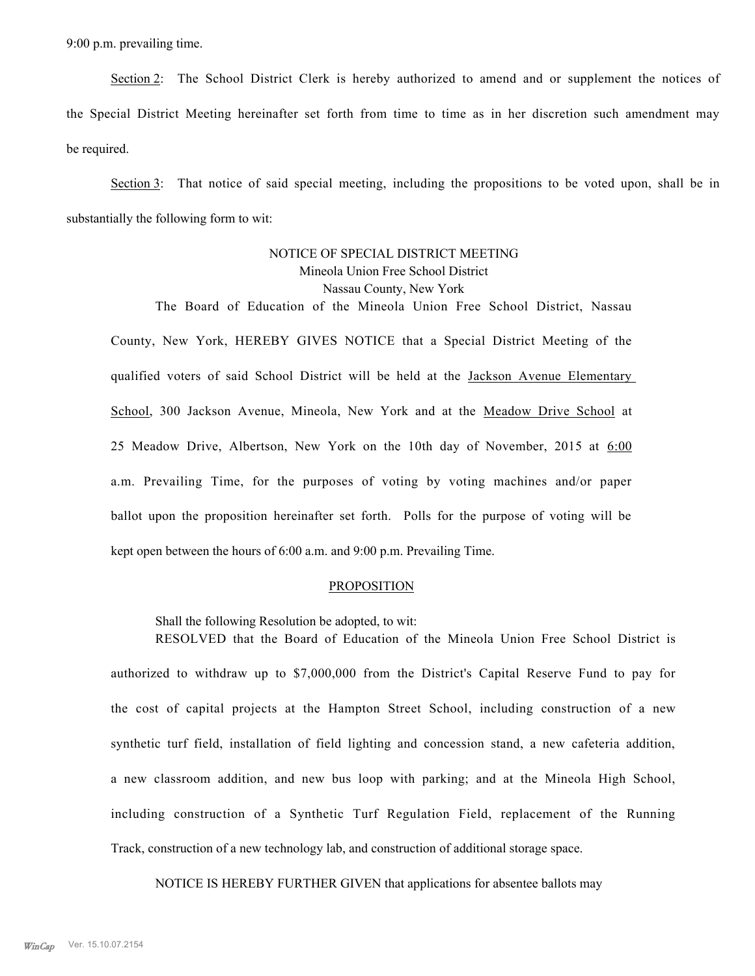9:00 p.m. prevailing time.

Section 2: The School District Clerk is hereby authorized to amend and or supplement the notices of the Special District Meeting hereinafter set forth from time to time as in her discretion such amendment may be required.

Section 3: That notice of said special meeting, including the propositions to be voted upon, shall be in substantially the following form to wit:

## NOTICE OF SPECIAL DISTRICT MEETING Mineola Union Free School District Nassau County, New York

The Board of Education of the Mineola Union Free School District, Nassau County, New York, HEREBY GIVES NOTICE that a Special District Meeting of the qualified voters of said School District will be held at the Jackson Avenue Elementary School, 300 Jackson Avenue, Mineola, New York and at the Meadow Drive School at 25 Meadow Drive, Albertson, New York on the 10th day of November, 2015 at  $6:00$ a.m. Prevailing Time, for the purposes of voting by voting machines and/or paper ballot upon the proposition hereinafter set forth. Polls for the purpose of voting will be kept open between the hours of 6:00 a.m. and 9:00 p.m. Prevailing Time.

#### PROPOSITION

Shall the following Resolution be adopted, to wit:

RESOLVED that the Board of Education of the Mineola Union Free School District is authorized to withdraw up to \$7,000,000 from the District's Capital Reserve Fund to pay for the cost of capital projects at the Hampton Street School, including construction of a new synthetic turf field, installation of field lighting and concession stand, a new cafeteria addition, a new classroom addition, and new bus loop with parking; and at the Mineola High School, including construction of a Synthetic Turf Regulation Field, replacement of the Running Track, construction of a new technology lab, and construction of additional storage space.

NOTICE IS HEREBY FURTHER GIVEN that applications for absentee ballots may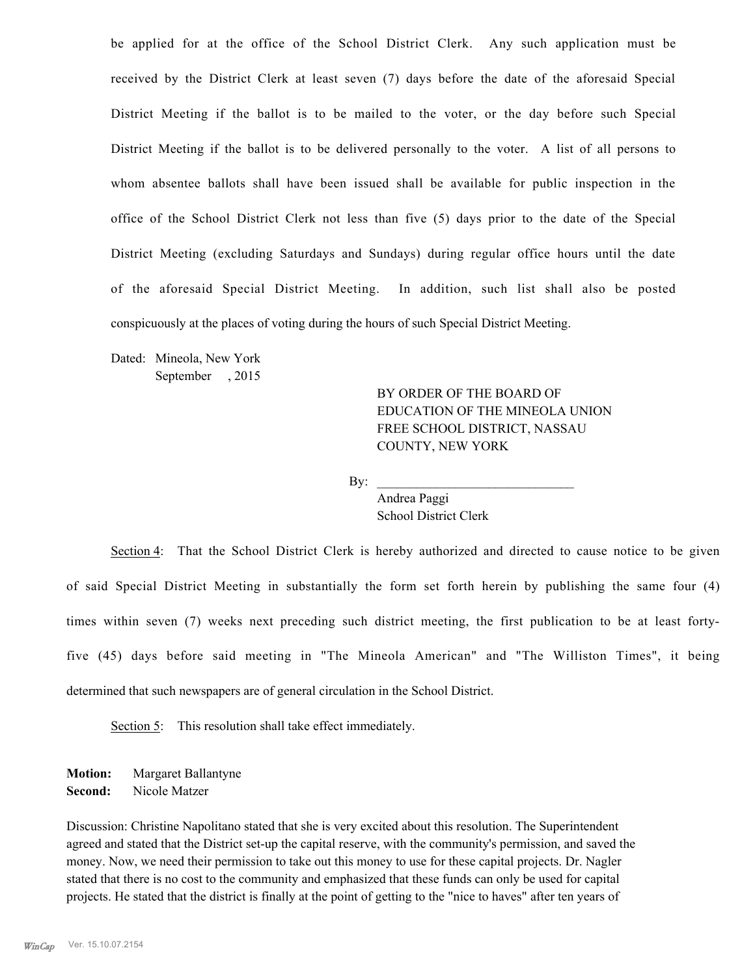be applied for at the office of the School District Clerk. Any such application must be received by the District Clerk at least seven (7) days before the date of the aforesaid Special District Meeting if the ballot is to be mailed to the voter, or the day before such Special District Meeting if the ballot is to be delivered personally to the voter. A list of all persons to whom absentee ballots shall have been issued shall be available for public inspection in the office of the School District Clerk not less than five (5) days prior to the date of the Special District Meeting (excluding Saturdays and Sundays) during regular office hours until the date of the aforesaid Special District Meeting. In addition, such list shall also be posted conspicuously at the places of voting during the hours of such Special District Meeting.

Dated: Mineola, New York September , 2015

> BY ORDER OF THE BOARD OF EDUCATION OF THE MINEOLA UNION FREE SCHOOL DISTRICT, NASSAU COUNTY, NEW YORK

 $\mathbf{By:}$ 

Andrea Paggi School District Clerk

Section 4: That the School District Clerk is hereby authorized and directed to cause notice to be given of said Special District Meeting in substantially the form set forth herein by publishing the same four (4) times within seven (7) weeks next preceding such district meeting, the first publication to be at least fortyfive (45) days before said meeting in "The Mineola American" and "The Williston Times", it being determined that such newspapers are of general circulation in the School District.

Section 5: This resolution shall take effect immediately.

**Motion:** Margaret Ballantyne **Second:** Nicole Matzer

Discussion: Christine Napolitano stated that she is very excited about this resolution. The Superintendent agreed and stated that the District set-up the capital reserve, with the community's permission, and saved the money. Now, we need their permission to take out this money to use for these capital projects. Dr. Nagler stated that there is no cost to the community and emphasized that these funds can only be used for capital projects. He stated that the district is finally at the point of getting to the "nice to haves" after ten years of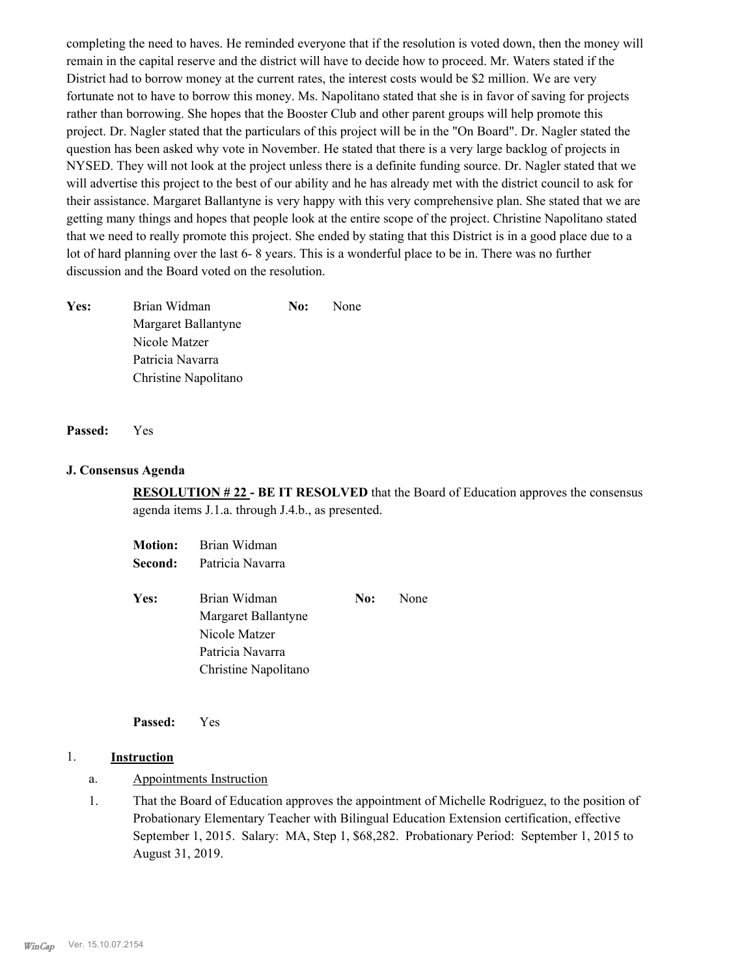completing the need to haves. He reminded everyone that if the resolution is voted down, then the money will remain in the capital reserve and the district will have to decide how to proceed. Mr. Waters stated if the District had to borrow money at the current rates, the interest costs would be \$2 million. We are very fortunate not to have to borrow this money. Ms. Napolitano stated that she is in favor of saving for projects rather than borrowing. She hopes that the Booster Club and other parent groups will help promote this project. Dr. Nagler stated that the particulars of this project will be in the "On Board". Dr. Nagler stated the question has been asked why vote in November. He stated that there is a very large backlog of projects in NYSED. They will not look at the project unless there is a definite funding source. Dr. Nagler stated that we will advertise this project to the best of our ability and he has already met with the district council to ask for their assistance. Margaret Ballantyne is very happy with this very comprehensive plan. She stated that we are getting many things and hopes that people look at the entire scope of the project. Christine Napolitano stated that we need to really promote this project. She ended by stating that this District is in a good place due to a lot of hard planning over the last 6- 8 years. This is a wonderful place to be in. There was no further discussion and the Board voted on the resolution.

| Yes: | Brian Widman         | No: | None |
|------|----------------------|-----|------|
|      | Margaret Ballantyne  |     |      |
|      | Nicole Matzer        |     |      |
|      | Patricia Navarra     |     |      |
|      | Christine Napolitano |     |      |

#### **Passed:** Yes

#### **J. Consensus Agenda**

**RESOLUTION # 22 - BE IT RESOLVED** that the Board of Education approves the consensus agenda items J.1.a. through J.4.b., as presented.

|      | <b>Motion:</b> Brian Widman |     |      |
|------|-----------------------------|-----|------|
|      | Second: Patricia Navarra    |     |      |
| Yes: | Brian Widman                | No: | None |
|      | Margaret Ballantyne         |     |      |
|      | Nicole Matzer               |     |      |
|      | Patricia Navarra            |     |      |
|      | Christine Napolitano        |     |      |

**Passed:** Yes

#### 1. **Instruction**

- a. Appointments Instruction
- That the Board of Education approves the appointment of Michelle Rodriguez, to the position of Probationary Elementary Teacher with Bilingual Education Extension certification, effective September 1, 2015. Salary: MA, Step 1, \$68,282. Probationary Period: September 1, 2015 to August 31, 2019. 1.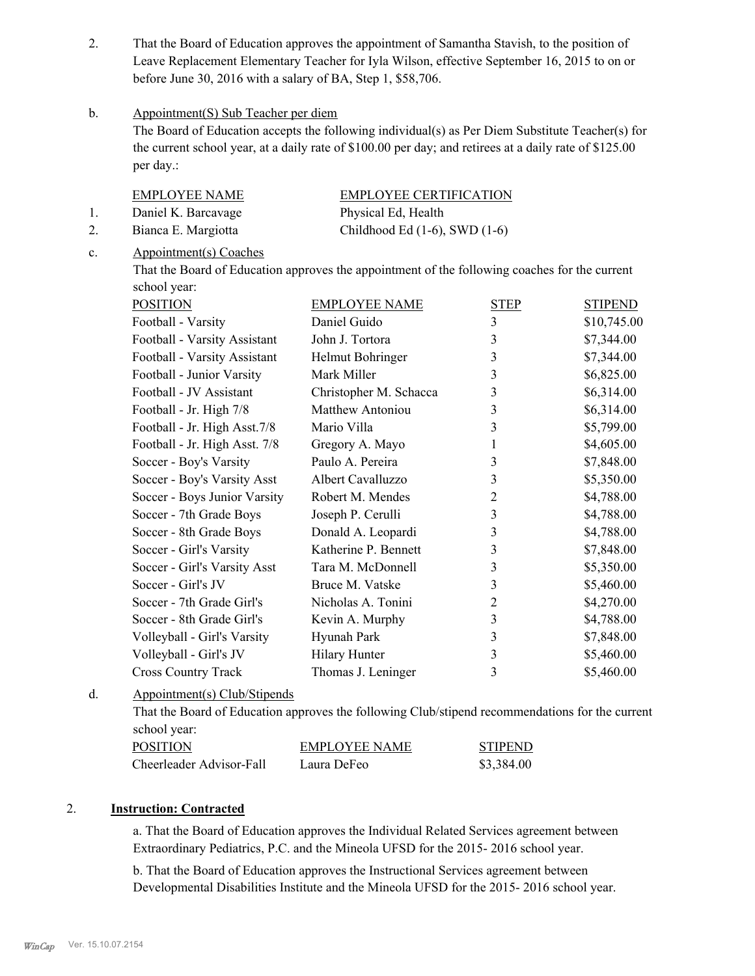That the Board of Education approves the appointment of Samantha Stavish, to the position of Leave Replacement Elementary Teacher for Iyla Wilson, effective September 16, 2015 to on or before June 30, 2016 with a salary of BA, Step 1, \$58,706. 2.

#### Appointment(S) Sub Teacher per diem b.

The Board of Education accepts the following individual(s) as Per Diem Substitute Teacher(s) for the current school year, at a daily rate of \$100.00 per day; and retirees at a daily rate of \$125.00 per day.:

|    | <b>EMPLOYEE NAME</b> | <b>EMPLOYEE CERTIFICATION</b>      |
|----|----------------------|------------------------------------|
|    | Daniel K. Barcavage  | Physical Ed, Health                |
| 2. | Bianca E. Margiotta  | Childhood Ed $(1-6)$ , SWD $(1-6)$ |

#### Appointment(s) Coaches c.

That the Board of Education approves the appointment of the following coaches for the current school year:

| <b>POSITION</b>               | <b>EMPLOYEE NAME</b>   | <b>STEP</b>    | <b>STIPEND</b> |
|-------------------------------|------------------------|----------------|----------------|
| Football - Varsity            | Daniel Guido           | 3              | \$10,745.00    |
| Football - Varsity Assistant  | John J. Tortora        | 3              | \$7,344.00     |
| Football - Varsity Assistant  | Helmut Bohringer       | 3              | \$7,344.00     |
| Football - Junior Varsity     | Mark Miller            | 3              | \$6,825.00     |
| Football - JV Assistant       | Christopher M. Schacca | 3              | \$6,314.00     |
| Football - Jr. High 7/8       | Matthew Antoniou       | 3              | \$6,314.00     |
| Football - Jr. High Asst. 7/8 | Mario Villa            | 3              | \$5,799.00     |
| Football - Jr. High Asst. 7/8 | Gregory A. Mayo        | 1              | \$4,605.00     |
| Soccer - Boy's Varsity        | Paulo A. Pereira       | 3              | \$7,848.00     |
| Soccer - Boy's Varsity Asst   | Albert Cavalluzzo      | 3              | \$5,350.00     |
| Soccer - Boys Junior Varsity  | Robert M. Mendes       | $\overline{2}$ | \$4,788.00     |
| Soccer - 7th Grade Boys       | Joseph P. Cerulli      | 3              | \$4,788.00     |
| Soccer - 8th Grade Boys       | Donald A. Leopardi     | 3              | \$4,788.00     |
| Soccer - Girl's Varsity       | Katherine P. Bennett   | 3              | \$7,848.00     |
| Soccer - Girl's Varsity Asst  | Tara M. McDonnell      | 3              | \$5,350.00     |
| Soccer - Girl's JV            | Bruce M. Vatske        | 3              | \$5,460.00     |
| Soccer - 7th Grade Girl's     | Nicholas A. Tonini     | $\overline{2}$ | \$4,270.00     |
| Soccer - 8th Grade Girl's     | Kevin A. Murphy        | 3              | \$4,788.00     |
| Volleyball - Girl's Varsity   | Hyunah Park            | 3              | \$7,848.00     |
| Volleyball - Girl's JV        | <b>Hilary Hunter</b>   | 3              | \$5,460.00     |
| <b>Cross Country Track</b>    | Thomas J. Leninger     | 3              | \$5,460.00     |

#### Appointment(s) Club/Stipends d.

That the Board of Education approves the following Club/stipend recommendations for the current school year:

| POSITION                 | EMPLOYEE NAME | <b>STIPEND</b> |
|--------------------------|---------------|----------------|
| Cheerleader Advisor-Fall | Laura DeFeo   | \$3,384.00     |

## 2. **Instruction: Contracted**

a. That the Board of Education approves the Individual Related Services agreement between Extraordinary Pediatrics, P.C. and the Mineola UFSD for the 2015- 2016 school year.

b. That the Board of Education approves the Instructional Services agreement between Developmental Disabilities Institute and the Mineola UFSD for the 2015- 2016 school year.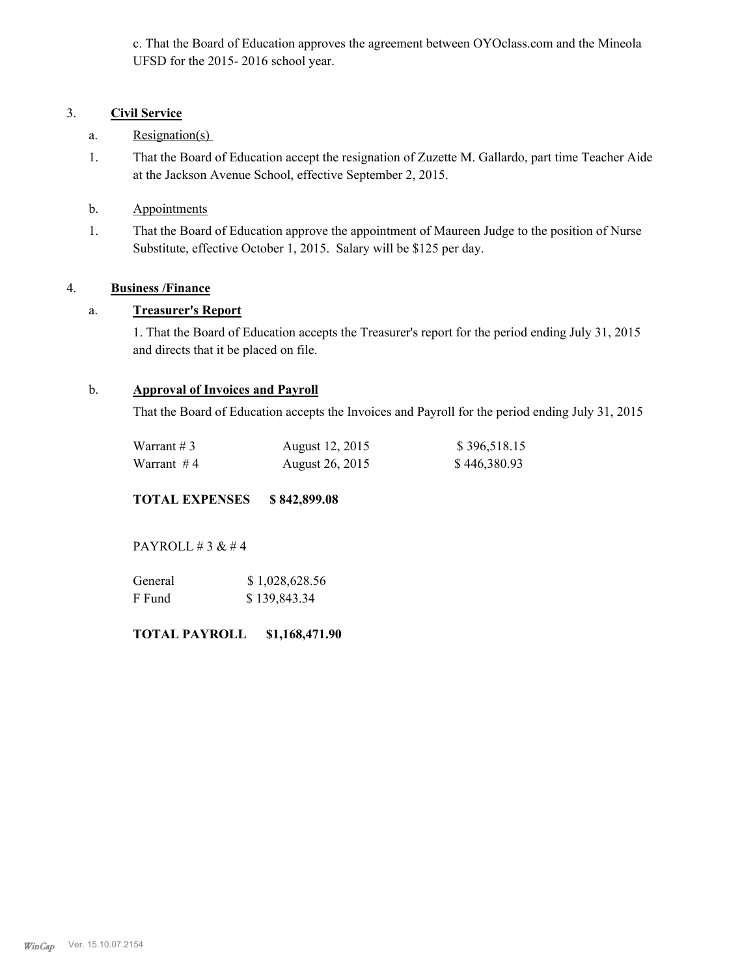c. That the Board of Education approves the agreement between OYOclass.com and the Mineola UFSD for the 2015- 2016 school year.

## 3. **Civil Service**

- a. Resignation(s)
- That the Board of Education accept the resignation of Zuzette M. Gallardo, part time Teacher Aide at the Jackson Avenue School, effective September 2, 2015. 1.
- b. Appointments
- That the Board of Education approve the appointment of Maureen Judge to the position of Nurse Substitute, effective October 1, 2015. Salary will be \$125 per day. 1.

## 4. **Business /Finance**

## a. **Treasurer's Report**

1. That the Board of Education accepts the Treasurer's report for the period ending July 31, 2015 and directs that it be placed on file.

## b. **Approval of Invoices and Payroll**

That the Board of Education accepts the Invoices and Payroll for the period ending July 31, 2015

| Warrant # 3 | August 12, 2015 | \$396,518.15 |
|-------------|-----------------|--------------|
| Warrant #4  | August 26, 2015 | \$446,380.93 |

## **TOTAL EXPENSES \$ 842,899.08**

PAYROLL  $# 3 \& # 4$ 

| General | \$1,028,628.56 |
|---------|----------------|
| F Fund  | \$139,843.34   |

**TOTAL PAYROLL \$1,168,471.90**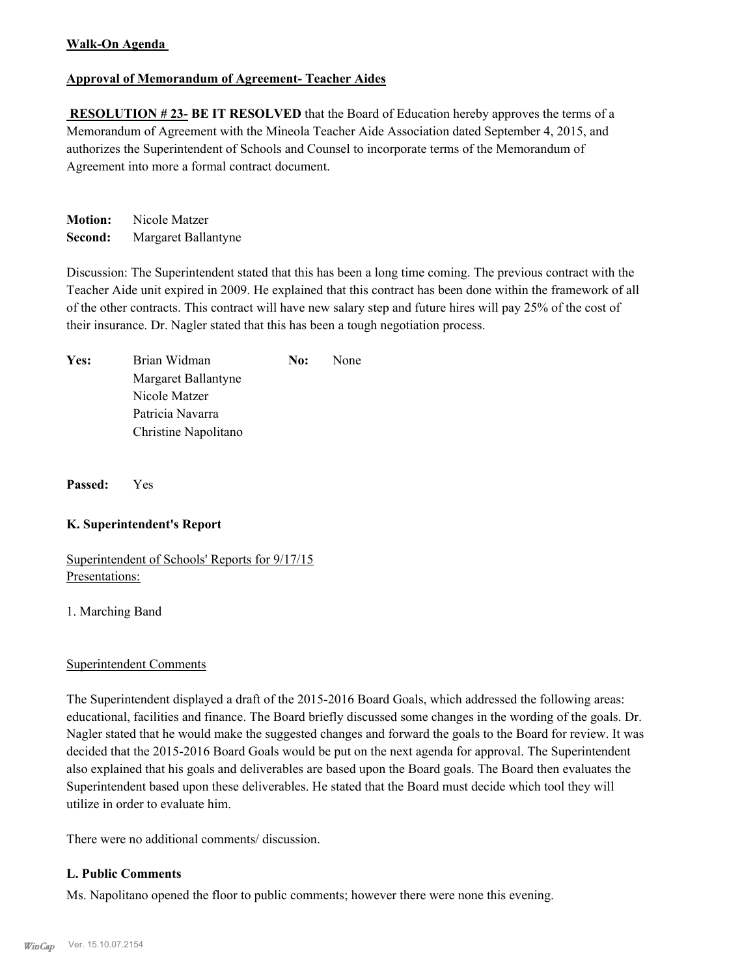## **Walk-On Agenda**

## **Approval of Memorandum of Agreement- Teacher Aides**

**RESOLUTION #23- BE IT RESOLVED** that the Board of Education hereby approves the terms of a Memorandum of Agreement with the Mineola Teacher Aide Association dated September 4, 2015, and authorizes the Superintendent of Schools and Counsel to incorporate terms of the Memorandum of Agreement into more a formal contract document.

**Motion:** Nicole Matzer **Second:** Margaret Ballantyne

Discussion: The Superintendent stated that this has been a long time coming. The previous contract with the Teacher Aide unit expired in 2009. He explained that this contract has been done within the framework of all of the other contracts. This contract will have new salary step and future hires will pay 25% of the cost of their insurance. Dr. Nagler stated that this has been a tough negotiation process.

| Yes: | Brian Widman         | No: | None |
|------|----------------------|-----|------|
|      | Margaret Ballantyne  |     |      |
|      | Nicole Matzer        |     |      |
|      | Patricia Navarra     |     |      |
|      | Christine Napolitano |     |      |

**Passed:** Yes

## **K. Superintendent's Report**

Superintendent of Schools' Reports for 9/17/15 Presentations:

1. Marching Band

## Superintendent Comments

The Superintendent displayed a draft of the 2015-2016 Board Goals, which addressed the following areas: educational, facilities and finance. The Board briefly discussed some changes in the wording of the goals. Dr. Nagler stated that he would make the suggested changes and forward the goals to the Board for review. It was decided that the 2015-2016 Board Goals would be put on the next agenda for approval. The Superintendent also explained that his goals and deliverables are based upon the Board goals. The Board then evaluates the Superintendent based upon these deliverables. He stated that the Board must decide which tool they will utilize in order to evaluate him.

There were no additional comments/ discussion.

## **L. Public Comments**

Ms. Napolitano opened the floor to public comments; however there were none this evening.